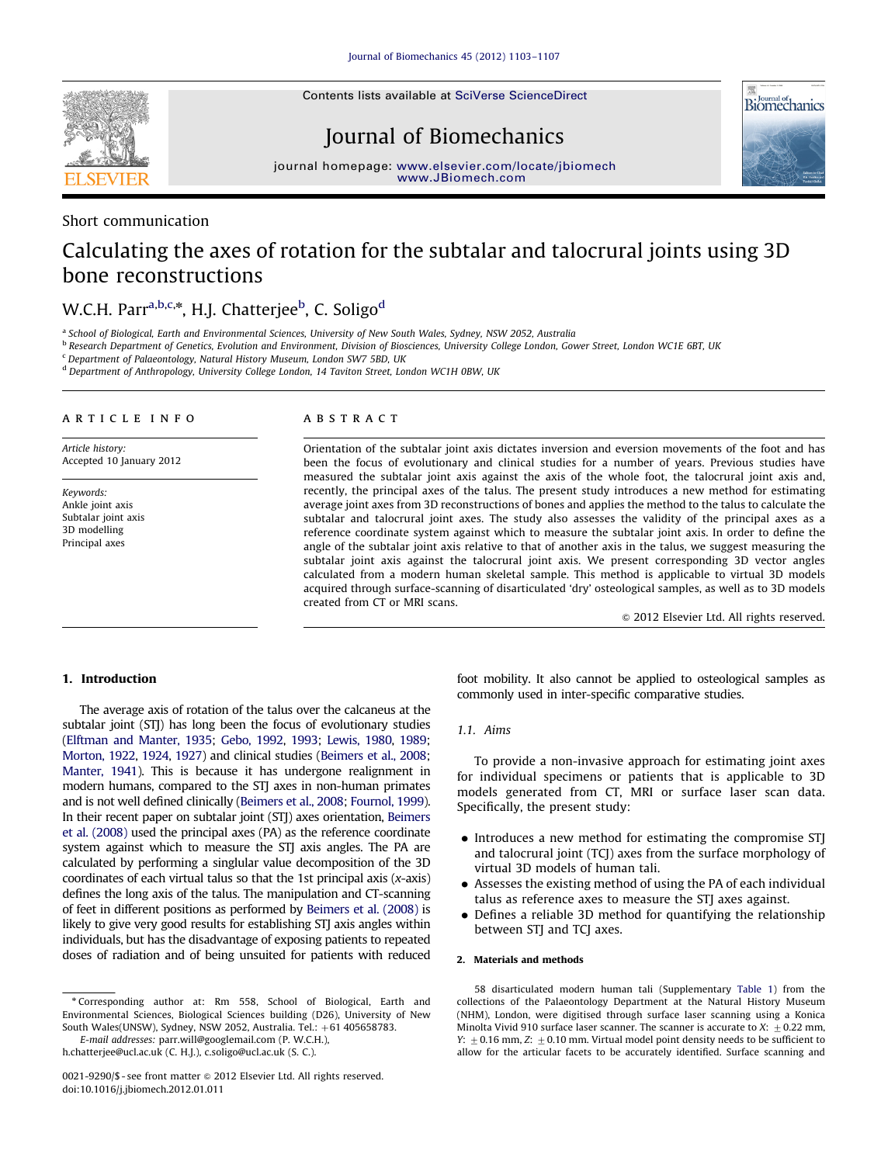Contents lists available at [SciVerse ScienceDirect](www.elsevier.com/locate/jbiomech)



# Journal of Biomechanics



journal home[page:](http://www.JBiomech.com) <www.elsevier.com/locate/jbiomech> [www.JBiomech.com](http://www.JBiomech.com)

# Short communication

# Calculating the axes of rotation for the subtalar and talocrural joints using 3D bone reconstructions

# W.C.H. Parr<sup>a,b,c,\*</sup>, H.J. Chatterjee<sup>b</sup>, C. Soligo<sup>d</sup>

a School of Biological, Earth and Environmental Sciences, University of New South Wales, Sydney, NSW 2052, Australia

<sup>b</sup> Research Department of Genetics, Evolution and Environment, Division of Biosciences, University College London, Gower Street, London WC1E 6BT, UK

<sup>c</sup> Department of Palaeontology, Natural History Museum, London SW7 5BD, UK

<sup>d</sup> Department of Anthropology, University College London, 14 Taviton Street, London WC1H 0BW, UK

#### article info

Article history: Accepted 10 January 2012

Keywords: Ankle joint axis Subtalar joint axis 3D modelling Principal axes

#### ABSTRACT

Orientation of the subtalar joint axis dictates inversion and eversion movements of the foot and has been the focus of evolutionary and clinical studies for a number of years. Previous studies have measured the subtalar joint axis against the axis of the whole foot, the talocrural joint axis and, recently, the principal axes of the talus. The present study introduces a new method for estimating average joint axes from 3D reconstructions of bones and applies the method to the talus to calculate the subtalar and talocrural joint axes. The study also assesses the validity of the principal axes as a reference coordinate system against which to measure the subtalar joint axis. In order to define the angle of the subtalar joint axis relative to that of another axis in the talus, we suggest measuring the subtalar joint axis against the talocrural joint axis. We present corresponding 3D vector angles calculated from a modern human skeletal sample. This method is applicable to virtual 3D models acquired through surface-scanning of disarticulated 'dry' osteological samples, as well as to 3D models created from CT or MRI scans.

 $\odot$  2012 Elsevier Ltd. All rights reserved.

### 1. Introduction

The average axis of rotation of the talus over the calcaneus at the subtalar joint (STJ) has long been the focus of evolutionary studies [\(Elftman and Manter, 1935](#page-4-0); [Gebo, 1992](#page-4-0), [1993;](#page-4-0) [Lewis, 1980](#page-4-0), [1989;](#page-4-0) [Morton, 1922](#page-4-0), [1924,](#page-4-0) [1927\)](#page-4-0) and clinical studies ([Beimers et al., 2008;](#page-4-0) [Manter, 1941\)](#page-4-0). This is because it has undergone realignment in modern humans, compared to the STJ axes in non-human primates and is not well defined clinically [\(Beimers et al., 2008](#page-4-0); [Fournol, 1999\)](#page-4-0). In their recent paper on subtalar joint (STJ) axes orientation, [Beimers](#page-4-0) [et al. \(2008\)](#page-4-0) used the principal axes (PA) as the reference coordinate system against which to measure the STJ axis angles. The PA are calculated by performing a singlular value decomposition of the 3D coordinates of each virtual talus so that the 1st principal axis  $(x-axis)$ defines the long axis of the talus. The manipulation and CT-scanning of feet in different positions as performed by [Beimers et al. \(2008\)](#page-4-0) is likely to give very good results for establishing STJ axis angles within individuals, but has the disadvantage of exposing patients to repeated doses of radiation and of being unsuited for patients with reduced

<sup>n</sup> Corresponding author at: Rm 558, School of Biological, Earth and Environmental Sciences, Biological Sciences building (D26), University of New South Wales(UNSW), Sydney, NSW 2052, Australia. Tel.: +61 405658783.

E-mail addresses: [parr.will@googlemail.com \(P. W.C.H.\)](mailto:parr.will@googlemail.com),

[h.chatterjee@ucl.ac.uk \(C. H.J.\),](mailto:h.chatterjee@ucl.ac.uk) [c.soligo@ucl.ac.uk \(S. C.\)](mailto:c.soligo@ucl.ac.uk).

foot mobility. It also cannot be applied to osteological samples as commonly used in inter-specific comparative studies.

#### 1.1. Aims

To provide a non-invasive approach for estimating joint axes for individual specimens or patients that is applicable to 3D models generated from CT, MRI or surface laser scan data. Specifically, the present study:

- Introduces a new method for estimating the compromise STJ and talocrural joint (TCJ) axes from the surface morphology of virtual 3D models of human tali.
- Assesses the existing method of using the PA of each individual talus as reference axes to measure the STJ axes against.
- Defines a reliable 3D method for quantifying the relationship between STJ and TCJ axes.

#### 2. Materials and methods

58 disarticulated modern human tali (Supplementary [Table 1](#page-4-0)) from the collections of the Palaeontology Department at the Natural History Museum (NHM), London, were digitised through surface laser scanning using a Konica Minolta Vivid 910 surface laser scanner. The scanner is accurate to X:  $\pm$  0.22 mm, Y:  $\pm$  0.16 mm, Z:  $\pm$  0.10 mm. Virtual model point density needs to be sufficient to allow for the articular facets to be accurately identified. Surface scanning and

<sup>0021-9290/\$ -</sup> see front matter @ 2012 Elsevier Ltd. All rights reserved. doi:[10.1016/j.jbiomech.2012.01.011](dx.doi.org/10.1016/j.jbiomech.2012.01.011)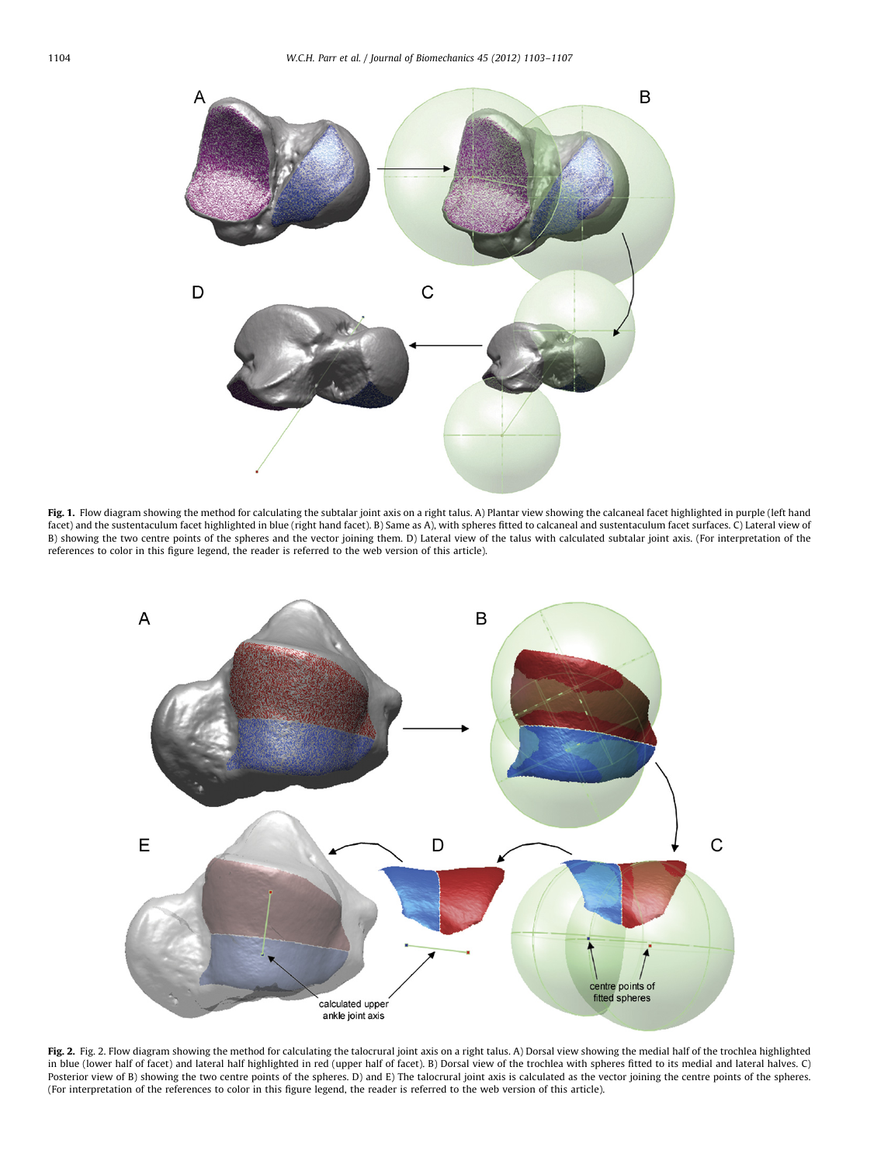<span id="page-1-0"></span>

Fig. 1. Flow diagram showing the method for calculating the subtalar joint axis on a right talus. A) Plantar view showing the calcaneal facet highlighted in purple (left hand facet) and the sustentaculum facet highlighted in blue (right hand facet). B) Same as A), with spheres fitted to calcaneal and sustentaculum facet surfaces. C) Lateral view of B) showing the two centre points of the spheres and the vector joining them. D) Lateral view of the talus with calculated subtalar joint axis. (For interpretation of the references to color in this figure legend, the reader is referred to the web version of this article).



Fig. 2. Fig. 2. Flow diagram showing the method for calculating the talocrural joint axis on a right talus. A) Dorsal view showing the medial half of the trochlea highlighted in blue (lower half of facet) and lateral half highlighted in red (upper half of facet). B) Dorsal view of the trochlea with spheres fitted to its medial and lateral halves. C) Posterior view of B) showing the two centre points of the spheres. D) and E) The talocrural joint axis is calculated as the vector joining the centre points of the spheres. (For interpretation of the references to color in this figure legend, the reader is referred to the web version of this article).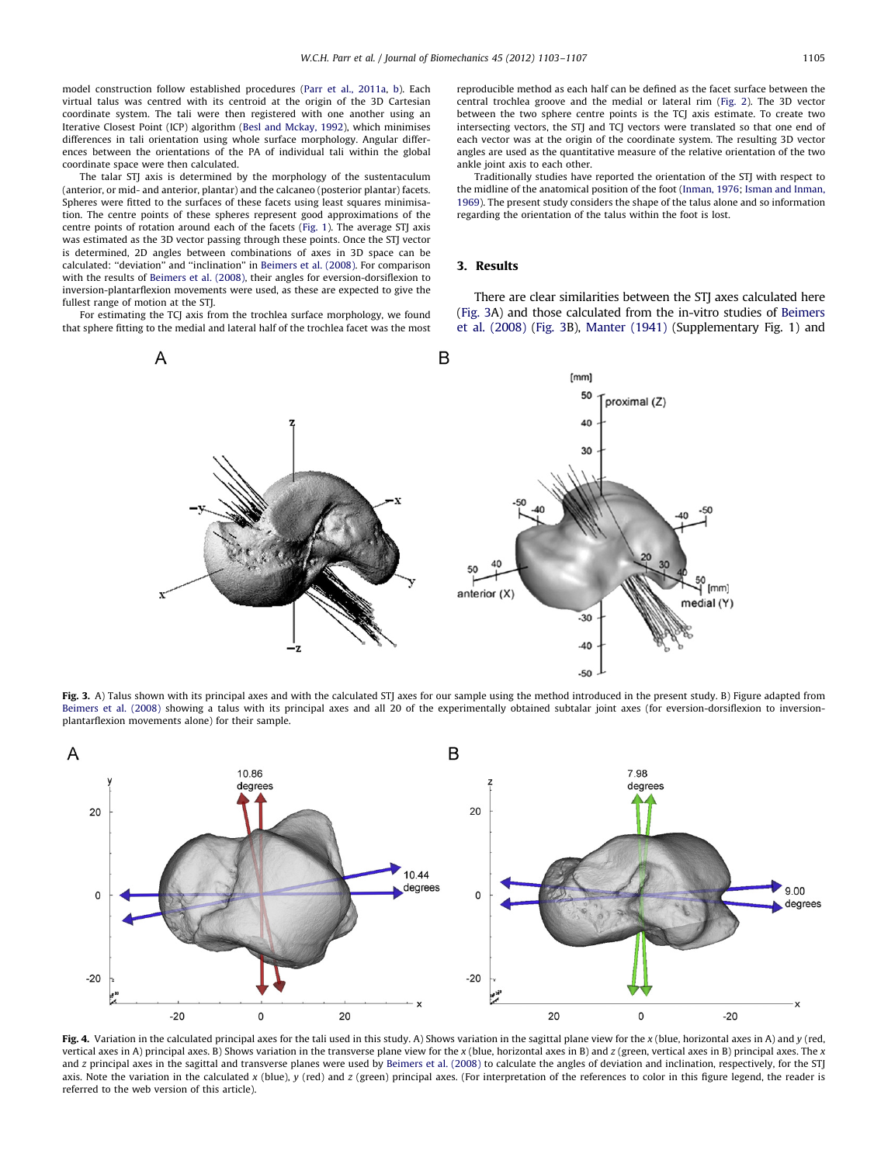<span id="page-2-0"></span>model construction follow established procedures [\(Parr et al., 2011a](#page-4-0), [b\)](#page-4-0). Each virtual talus was centred with its centroid at the origin of the 3D Cartesian coordinate system. The tali were then registered with one another using an Iterative Closest Point (ICP) algorithm ([Besl and Mckay, 1992](#page-4-0)), which minimises differences in tali orientation using whole surface morphology. Angular differences between the orientations of the PA of individual tali within the global coordinate space were then calculated.

The talar STJ axis is determined by the morphology of the sustentaculum (anterior, or mid- and anterior, plantar) and the calcaneo (posterior plantar) facets. Spheres were fitted to the surfaces of these facets using least squares minimisation. The centre points of these spheres represent good approximations of the centre points of rotation around each of the facets [\(Fig. 1](#page-1-0)). The average STJ axis was estimated as the 3D vector passing through these points. Once the STJ vector is determined, 2D angles between combinations of axes in 3D space can be calculated: ''deviation'' and ''inclination'' in [Beimers et al. \(2008\)](#page-4-0). For comparison with the results of [Beimers et al. \(2008\),](#page-4-0) their angles for eversion-dorsiflexion to inversion-plantarflexion movements were used, as these are expected to give the fullest range of motion at the STJ.

For estimating the TCJ axis from the trochlea surface morphology, we found that sphere fitting to the medial and lateral half of the trochlea facet was the most reproducible method as each half can be defined as the facet surface between the central trochlea groove and the medial or lateral rim [\(Fig. 2](#page-1-0)). The 3D vector between the two sphere centre points is the TCJ axis estimate. To create two intersecting vectors, the STJ and TCJ vectors were translated so that one end of each vector was at the origin of the coordinate system. The resulting 3D vector angles are used as the quantitative measure of the relative orientation of the two ankle joint axis to each other.

Traditionally studies have reported the orientation of the STJ with respect to the midline of the anatomical position of the foot ([Inman, 1976;](#page-4-0) [Isman and Inman,](#page-4-0) [1969\)](#page-4-0). The present study considers the shape of the talus alone and so information regarding the orientation of the talus within the foot is lost.

## 3. Results

There are clear similarities between the STJ axes calculated here (Fig. 3A) and those calculated from the in-vitro studies of [Beimers](#page-4-0) [et al. \(2008\)](#page-4-0) (Fig. 3B), [Manter \(1941\)](#page-4-0) (Supplementary Fig. 1) and



Fig. 3. A) Talus shown with its principal axes and with the calculated STI axes for our sample using the method introduced in the present study. B) Figure adapted from [Beimers et al. \(2008\)](#page-4-0) showing a talus with its principal axes and all 20 of the experimentally obtained subtalar joint axes (for eversion-dorsiflexion to inversionplantarflexion movements alone) for their sample.



Fig. 4. Variation in the calculated principal axes for the tali used in this study. A) Shows variation in the sagittal plane view for the x (blue, horizontal axes in A) and y (red, vertical axes in A) principal axes. B) Shows variation in the transverse plane view for the x (blue, horizontal axes in B) and z (green, vertical axes in B) principal axes. The x and z principal axes in the sagittal and transverse planes were used by [Beimers et al. \(2008\)](#page-4-0) to calculate the angles of deviation and inclination, respectively, for the STJ axis. Note the variation in the calculated x (blue), y (red) and z (green) principal axes. (For interpretation of the references to color in this figure legend, the reader is referred to the web version of this article).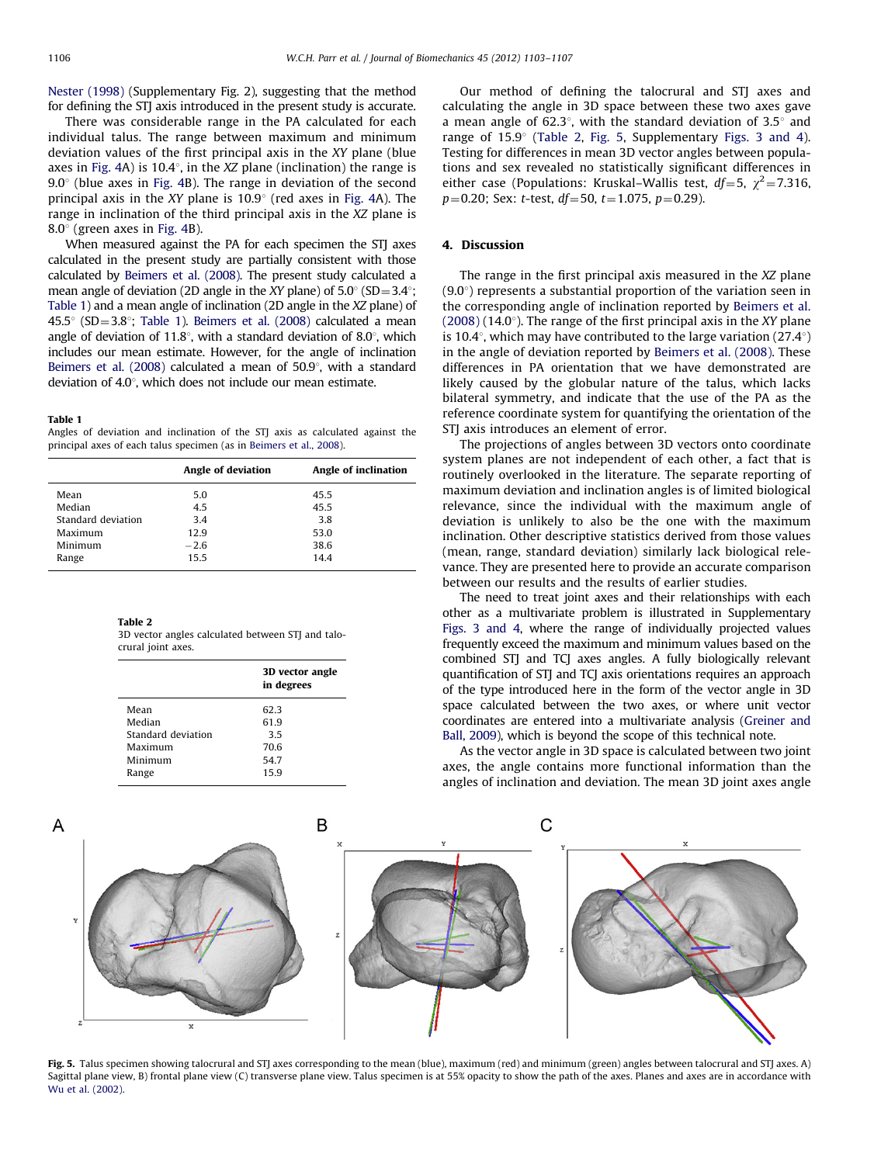[Nester \(1998\)](#page-4-0) (Supplementary Fig. 2), suggesting that the method for defining the STJ axis introduced in the present study is accurate.

There was considerable range in the PA calculated for each individual talus. The range between maximum and minimum deviation values of the first principal axis in the XY plane (blue axes in [Fig. 4](#page-2-0)A) is 10.4 $\degree$ , in the XZ plane (inclination) the range is  $9.0^\circ$  (blue axes in [Fig. 4B](#page-2-0)). The range in deviation of the second principal axis in the XY plane is  $10.9^{\circ}$  (red axes in [Fig. 4](#page-2-0)A). The range in inclination of the third principal axis in the XZ plane is  $8.0^\circ$  (green axes in [Fig. 4](#page-2-0)B).

When measured against the PA for each specimen the STI axes calculated in the present study are partially consistent with those calculated by [Beimers et al. \(2008\)](#page-4-0). The present study calculated a mean angle of deviation (2D angle in the XY plane) of  $5.0^{\circ}$  (SD =  $3.4^{\circ}$ ; Table 1) and a mean angle of inclination (2D angle in the XZ plane) of 45.5 $\degree$  (SD=3.8 $\degree$ ; Table 1). [Beimers et al. \(2008\)](#page-4-0) calculated a mean angle of deviation of 11.8 $^{\circ}$ , with a standard deviation of 8.0 $^{\circ}$ , which includes our mean estimate. However, for the angle of inclination Beimers et al.  $(2008)$  calculated a mean of  $50.9^{\circ}$ , with a standard deviation of  $4.0^\circ$ , which does not include our mean estimate.

#### Table 1

Angles of deviation and inclination of the STJ axis as calculated against the principal axes of each talus specimen (as in [Beimers et al., 2008](#page-4-0)).

|                    | Angle of deviation | Angle of inclination |
|--------------------|--------------------|----------------------|
| Mean               | 5.0                | 45.5                 |
| Median             | 4.5                | 45.5                 |
| Standard deviation | 3.4                | 3.8                  |
| Maximum            | 12.9               | 53.0                 |
| Minimum            | $-2.6$             | 38.6                 |
| Range              | 15.5               | 14.4                 |

Table 2

3D vector angles calculated between STJ and talocrural joint axes.

|                    | 3D vector angle<br>in degrees |
|--------------------|-------------------------------|
| Mean               | 62.3                          |
| Median             | 61.9                          |
| Standard deviation | 3.5                           |
| Maximum            | 70.6                          |
| Minimum            | 54.7                          |
| Range              | 15.9                          |
|                    |                               |

Our method of defining the talocrural and STJ axes and calculating the angle in 3D space between these two axes gave a mean angle of 62.3 $^{\circ}$ , with the standard deviation of 3.5 $^{\circ}$  and range of  $15.9^{\circ}$  (Table 2, Fig. 5, Supplementary [Figs. 3 and 4\)](#page-4-0). Testing for differences in mean 3D vector angles between populations and sex revealed no statistically significant differences in either case (Populations: Kruskal–Wallis test,  $df=5$ ,  $\chi^2=7.316$ ,  $p=0.20$ ; Sex: t-test,  $df=50$ ,  $t=1.075$ ,  $p=0.29$ ).

# 4. Discussion

The range in the first principal axis measured in the XZ plane  $(9.0^{\circ})$  represents a substantial proportion of the variation seen in the corresponding angle of inclination reported by [Beimers et al.](#page-4-0)  $(2008)$  (14.0 $^{\circ}$ ). The range of the first principal axis in the XY plane is 10.4 $^{\circ}$ , which may have contributed to the large variation (27.4 $^{\circ}$ ) in the angle of deviation reported by [Beimers et al. \(2008\)](#page-4-0). These differences in PA orientation that we have demonstrated are likely caused by the globular nature of the talus, which lacks bilateral symmetry, and indicate that the use of the PA as the reference coordinate system for quantifying the orientation of the STJ axis introduces an element of error.

The projections of angles between 3D vectors onto coordinate system planes are not independent of each other, a fact that is routinely overlooked in the literature. The separate reporting of maximum deviation and inclination angles is of limited biological relevance, since the individual with the maximum angle of deviation is unlikely to also be the one with the maximum inclination. Other descriptive statistics derived from those values (mean, range, standard deviation) similarly lack biological relevance. They are presented here to provide an accurate comparison between our results and the results of earlier studies.

The need to treat joint axes and their relationships with each other as a multivariate problem is illustrated in Supplementary [Figs. 3 and 4](#page-4-0), where the range of individually projected values frequently exceed the maximum and minimum values based on the combined STJ and TCJ axes angles. A fully biologically relevant quantification of STJ and TCJ axis orientations requires an approach of the type introduced here in the form of the vector angle in 3D space calculated between the two axes, or where unit vector coordinates are entered into a multivariate analysis [\(Greiner and](#page-4-0) [Ball, 2009](#page-4-0)), which is beyond the scope of this technical note.

As the vector angle in 3D space is calculated between two joint axes, the angle contains more functional information than the angles of inclination and deviation. The mean 3D joint axes angle



Fig. 5. Talus specimen showing talocrural and STJ axes corresponding to the mean (blue), maximum (red) and minimum (green) angles between talocrural and STJ axes. A) Sagittal plane view, B) frontal plane view (C) transverse plane view. Talus specimen is at 55% opacity to show the path of the axes. Planes and axes are in accordance with [Wu et al. \(2002\).](#page-4-0)